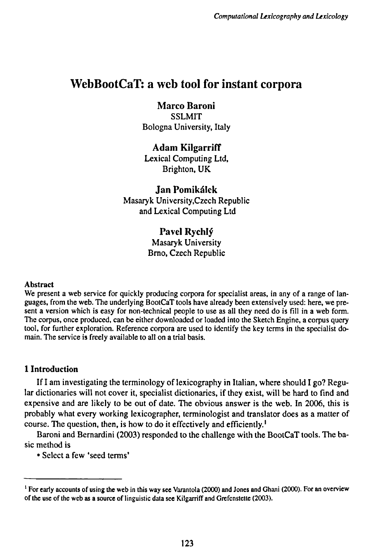# WebBootCaT: a web tool for instant corpora

**Marco Baroni SSLMIT** Bologna University, Italy

**Adam Kilgarriff** Lexical Computing Ltd, Brighton, UK

**Jan Pomikálek** Masaryk University.Czech Republic and Lexical Computing Ltd

> **Pavel Rychly<sup>1</sup>** Masaryk University Brno, Czech Republic

#### Abstract

We present a web service for quickly producing corpora for specialist areas, in any of a range of languages, from the web. The underlying BootCaT tools have already been extensively used: here, we present a version which is easy for non-technical people to use as all they need do is fill in a web form. The corpus, once produced, can be either downloaded or loaded into the Sketch Engine, a corpus query tool, for further exploration. Reference corpora are used to identify the key terms in the specialist domain. The service is freely available to all on a trial basis.

## **1 Introduction**

If **<sup>I</sup>** am investigating the terminology of lexicography in Italian, where should I go? Regular dictionaries will not cover it, specialist dictionaries, if they exist, will be hard to find and expensive and are likely to be out of date. The obvious answer is the web. In 2006, this is probably what every working lexicographer, terminologist and translator does as a matter of course. The question, then, is how to do it effectively and efficiently.<sup>1</sup>

Baroni and Bernardini (2003) responded to the challenge with the BootCaT tools. The basic method is

• Select a few 'seed terms'

<sup>&</sup>lt;sup>1</sup> For early accounts of using the web in this way see Varantola (2000) and Jones and Ghani (2000). For an overview of the use of the web as a source of linguistic data see Kilgarriff and Grefenstette (2003).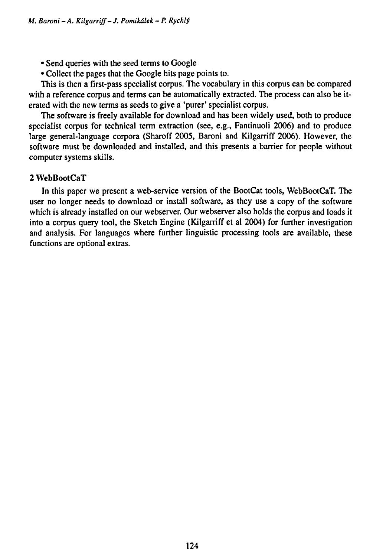- Send queries with the seed terms to Google
- Collect the pages that the Google hits page points to.

This is then a first-pass specialist corpus. The vocabulary in this corpus can be compared with a reference corpus and terms can be automatically extracted. The process can also be iterated with the new terms as seeds to give a 'purer' specialist corpus.

The software is freely available for download and has been widely used, both to produce specialist corpus for technical term extraction (see, e.g., Fantinuoli 2006) and to produce large general-language corpora (Sharoff 2005, Baroni and Kilgarriff 2006). However, the software must be downloaded and installed, and this presents a barrier for people without computer systems skills.

#### 2 WebBootCaT

In this paper we present a web-service version of the BootCat tools, WebBootCaT. The user no longer needs to download or install software, as they use a copy of the software which is already installed on our webserver. Our webserver also holds the corpus and loads it into a corpus query tool, the Sketch Engine (Kilgarriff et al 2004) for further investigation and analysis. For languages where further linguistic processing tools are available, these functions are optional extras.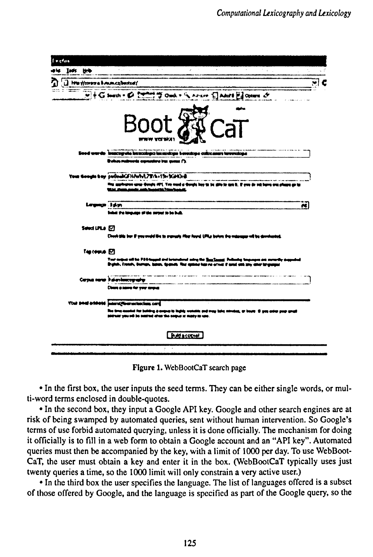| l e chui                 |                                                                                                                                                                                                                  |
|--------------------------|------------------------------------------------------------------------------------------------------------------------------------------------------------------------------------------------------------------|
| Took Hyb                 |                                                                                                                                                                                                                  |
| D he Howeve branchbodoff | c                                                                                                                                                                                                                |
|                          | WHG seem . @ 2 when y Ond . A Answ C Add El Other &                                                                                                                                                              |
|                          |                                                                                                                                                                                                                  |
|                          | Boo                                                                                                                                                                                                              |
|                          |                                                                                                                                                                                                                  |
|                          | www yerway                                                                                                                                                                                                       |
|                          | Sood wards humanguha isaaadaga luxuadaga kesudaga calacemat lureetdage                                                                                                                                           |
|                          | Bulara matrocràt asprondero tras aumes (").                                                                                                                                                                      |
|                          | Your Google boy pubed CEHAWAL731h+15+5CHC+8                                                                                                                                                                      |
|                          | on upap Google APL Yan word a Google boy to be give to tare it. If you do set it<br><b>SEAL AND AND AGE AND SHARISE SHOWBALL</b>                                                                                 |
| Leyngr. Id.y             | æ                                                                                                                                                                                                                |
|                          | behat the temporary of the serper to be built                                                                                                                                                                    |
| Seed ULA [7]             |                                                                                                                                                                                                                  |
|                          | Cheek this bar if you would live to summary filter found. Lifting below the weigname will be developeded.                                                                                                        |
| Tig come [C]             |                                                                                                                                                                                                                  |
|                          | Twe copies will be PDS-happed and howrathout subry the <u>Sea Conseil</u> . Pollumby harpenpos are movedly gap<br>Brainh, Tready, Battage, James, Gogmels, Ther aptime legs no others if woul olds you attenting |
|                          | Cerpus varas ihdienium ogradu                                                                                                                                                                                    |
|                          | Closes a name for your couple                                                                                                                                                                                    |
|                          | Your small entropid inneral four actuacions card                                                                                                                                                                 |
|                          | The time coording for building is anapies to toghly womake and may belie convices, or bount 10 year ander purp gaugh<br>portune you will be need told the seque of many on ups.                                  |
|                          | <b>Redescoped</b>                                                                                                                                                                                                |
|                          | ÷.                                                                                                                                                                                                               |

**Figure 1.** WebBootCaT search page

• In the first box, the user inputs the seed terms. They can be either single words, or multi-word terms enclosed in double-quotes.

• In the second box, they input a Google API key. Google and other search engines are at risk of being swamped by automated queries, sent without human intervention. So Google's terms of use forbid automated querying, unless it is done officially. The mechanism for doing it officially is to fill in a web form to obtain a Google account and an "API key". Automated queries must then be accompanied by the key, with a limit of 1000 per day. To use WebBoot-CaT, the user must obtain a key and enter it in the box. (WebBootCaT typically uses just twenty queries a time, so the 1000 limit will only constrain a very active user.)

• In the third box the user specifies the language. The list of languages offered is a subset of those offered by Google, and the language is specified as part of the Google query, so the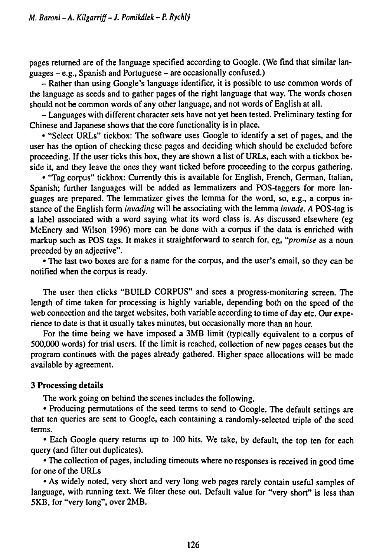pages returned are of the language specified according to Google. (We find that similar languages - e.g., Spanish and Portuguese - are occasionally confused.)

- Rather than using Google's language identifier, it is possible to use common words of the language as seeds and to gather pages of the right language that way. The words chosen should not be common words of any other language, and not words of English at all.

- Languages with different character sets have not yet been tested. Preliminary testing for Chinese and Japanese shows that the core functionality is in place.

• "Select URLs" tickbox: The software uses Google to identify a set of pages, and the user has the option of checking these pages and deciding which should be excluded before proceeding. If the user ticks this box, they are shown a list of URLs, each with a tickbox beside it, and they leave the ones they want ticked before proceeding to the corpus gathering.

• 'Tag corpus" tickbox: Currently this is available for English, French, German, Italian, Spanish; further languages will be added as lemmatizers and POS-taggers for more languages are prepared. The lemmatizer gives the lemma for the word, so, e.g., a corpus instance of the English form *invading* will be associating with the lemma *invade. A* POS-tag is a label associated with a word saying what its word class is. As discussed elsewhere (eg McEnery and Wilson 1996) more can be done with a corpus if the data is enriched with markup such as POS tags. It makes it straightforward to search for, eg, *"promise* as a noun preceded by an adjective".

• The last two boxes are for a name for the corpus, and the user's email, so they can be notified when the corpus is ready.

The user then clicks "BUILD CORPUS" and sees a progress-monitoring screen. The length of time taken for processing is highly variable, depending both on the speed of the web connection and the target websites, both variable according to time of day etc. Our experience to date is that it usually takes minutes, but occasionally more than an hour.

For the time being we have imposed a 3MB limit (typically equivalent to a corpus of 500,000 words) for trial users. If the limit is reached, collection of new pages ceases but the program continues with the pages already gathered. Higher space allocations will be made available by agreement.

#### 3 Processing details

The work going on behind the scenes includes the following.

• Producing permutations of the seed terms to send to Google. The default settings are that ten queries are sent to Google, each containing a randomly-selected triple of the seed terms.

• Each Google query returns up to 100 hits. We take, by default, the top ten for each query (and filter out duplicates).

• The collection of pages, including timeouts where no responses is received in good time for one of the URLs

• As widely noted, very short and very long web pages rarely contain useful samples of language, with running text. We filter these out. Default value for "very short" is less than 5KB, for "very long", over 2MB.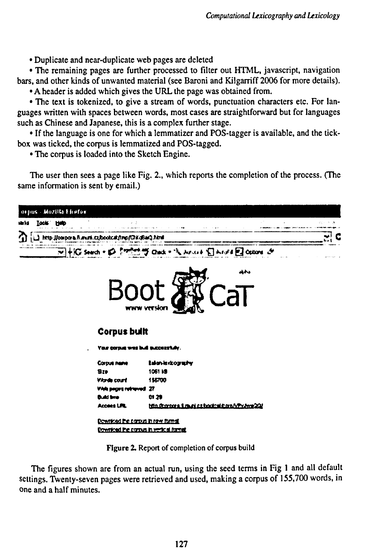• Duplicate and near-duplicate web pages are deleted

• The remaining pages are further processed to filter out HTML, javascript, navigation bars, and other kinds of unwanted material (see Baroni and Kilgarriff 2006 for more details).

• A header is added which gives the URL the page was obtained from.

• The text is tokenized, to give a stream of words, punctuation characters etc. For languages written with spaces between words, most cases are straightforward but for languages such as Chinese and Japanese, this is a complex further stage.

• If the language is one for which a lemmatizer and POS-tagger is available, and the tickbox was ticked, the corpus is lemmatized and POS-tagged.

• The corpus is loaded into the Sketch Engine.

The user then sees a page like Fig. 2., which reports the completion of the process. (The same information is sent by email.)



Figure 2. Report of completion of corpus build

The figures shown are from an actual run, using the seed terms in Fig <sup>1</sup> and all default settings. Twenty-seven pages were retrieved and used, making a corpus of 155,700 words, in one and a half minutes.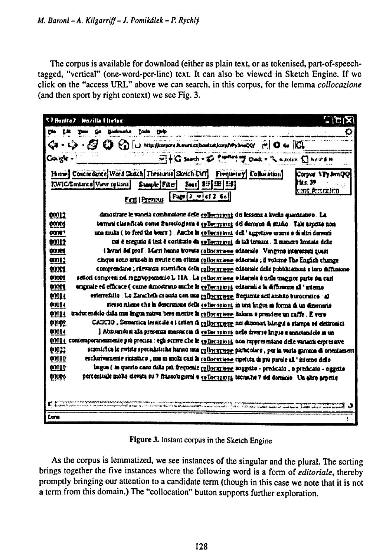The corpus is available for download (either as plain text, or as tokenised, part-of-speechtagged, "vertical" (one-word-per-line) text. It can also be viewed in Sketch Engine. If we click on the "access URL" above we can search, in this corpus, for the lemma collocazione (and then sport by right context) we see Fig. 3.

|                                                                                                                                   | <sup>キタ</sup> Hanito 2 - Mazilla Elrefox                                                                                                                                                                     |  |  |  |  |  |  |
|-----------------------------------------------------------------------------------------------------------------------------------|--------------------------------------------------------------------------------------------------------------------------------------------------------------------------------------------------------------|--|--|--|--|--|--|
| ين                                                                                                                                | Iade<br>Baskruerka<br>- 1940                                                                                                                                                                                 |  |  |  |  |  |  |
|                                                                                                                                   | $Q_3 - Q_2 - Q_3 - Q_4$ ( $Q_3 - Q_4$ ) the compact contraction of $\sim$ $Q_3 - Q_4$ ( $Q_5$ ) $Q_6$                                                                                                        |  |  |  |  |  |  |
| Gorigh -                                                                                                                          | VI+G samb = E Puniting T Oach = " a solar E larges in                                                                                                                                                        |  |  |  |  |  |  |
|                                                                                                                                   | Hinne Concordance Word Sketch Thesturus Stotch-Diff<br>Firequeiry Collocation<br>Corour <b>ITy A</b> mOO                                                                                                     |  |  |  |  |  |  |
|                                                                                                                                   | KWIC/Emance Wew splints<br>Sample [Filter]<br>Sed 15 32 5개                                                                                                                                                   |  |  |  |  |  |  |
|                                                                                                                                   | First   Premous   Page   2 w ef 2 6a                                                                                                                                                                         |  |  |  |  |  |  |
| 00012                                                                                                                             | danostrare le vancià combinatorie delle collectationi dei lessent a livello quantiativo. La                                                                                                                  |  |  |  |  |  |  |
| more                                                                                                                              | ternini classificati come frascologisma e celloceranni: del dominio di studio . Tale aspetto non                                                                                                             |  |  |  |  |  |  |
| י ממנס                                                                                                                            | una multa ( to fred the beart ) . Anche la collecosioni dell'aggettivo ursine e di altri derivati                                                                                                            |  |  |  |  |  |  |
| 01010                                                                                                                             | rus è eseguto il test è costitutto da gollecazioni di tal termeni. Il numero limitato delle                                                                                                                  |  |  |  |  |  |  |
| axa                                                                                                                               | i kerori del prof. Marti luccio trovato coltornisme editoriale. Vengono interessati quani                                                                                                                    |  |  |  |  |  |  |
| 00012                                                                                                                             | cinque sono articoh in riviste con ottizza collor reisere editornie; il volume The English change                                                                                                            |  |  |  |  |  |  |
| <b>DOM</b>                                                                                                                        | comprendano ; rievanza scientifica della collor stiene eddorsie delle pubblicazioni e loro diffusione                                                                                                        |  |  |  |  |  |  |
| <b>OXX3</b>                                                                                                                       | settori compreti nel raggroupezonio L 11A . La collocazione stitornis è nela maggior parte dei cari                                                                                                          |  |  |  |  |  |  |
|                                                                                                                                   | originale ed efficace ( come dimostrano anche le collocasioni) editoriali e la diffusione all'azienzo<br><b>axus</b>                                                                                         |  |  |  |  |  |  |
|                                                                                                                                   | esterrefailo . Lo Zarachela ei sauta con una <u>collocazione</u> frequente nell'ambito burocraino : al<br>10014                                                                                              |  |  |  |  |  |  |
|                                                                                                                                   | sterso riliene che la descrizione delle collocazioni in una lingua in forma di un dizionario<br>01014                                                                                                        |  |  |  |  |  |  |
| traducendolo dalla mis lingua nativa bere mentre la collor arbone dalama è prendere un caffe . È ver <del>o</del><br><b>00014</b> |                                                                                                                                                                                                              |  |  |  |  |  |  |
| 00014                                                                                                                             | CASCIO, Sementica lessicide e i criteri di collocatione nei dizioneri biangui a stampa ed elettronici<br><b>DERS</b>                                                                                         |  |  |  |  |  |  |
| 00014                                                                                                                             | ] Abiusadosi alla presenza massaccia di collecezioni nelle diverse lingue e annotandole in un<br>contemporaneamente prà precisa : egli scrive che le rellecationi non rappresentano delle vananti espressive |  |  |  |  |  |  |
| 010.C                                                                                                                             | scientifica le reviste specialistiche hanno una <u>collor acterne</u> particolare , per la vasta gamma di orientament                                                                                        |  |  |  |  |  |  |
| <b>OXID</b>                                                                                                                       | esclurivamente rictataco , una in multi cari la <u>collocartiono</u> ripetuta di più parole all'interno dello                                                                                                |  |  |  |  |  |  |
| awid                                                                                                                              | Ingua ( in questo caso dala pui frequente rollor ariene suggetto - predicato , o predicato - oggetto                                                                                                         |  |  |  |  |  |  |
| <b>UTUR6</b>                                                                                                                      | percentuale molto eleven su 7 frascologiani a collocazioni, tecniche 7 del dominio. Un altro aspetto                                                                                                         |  |  |  |  |  |  |
|                                                                                                                                   |                                                                                                                                                                                                              |  |  |  |  |  |  |
|                                                                                                                                   |                                                                                                                                                                                                              |  |  |  |  |  |  |
|                                                                                                                                   |                                                                                                                                                                                                              |  |  |  |  |  |  |
| tone                                                                                                                              |                                                                                                                                                                                                              |  |  |  |  |  |  |
|                                                                                                                                   |                                                                                                                                                                                                              |  |  |  |  |  |  |

Figure 3. Instant corpus in the Sketch Engine

As the corpus is lemmatized, we see instances of the singular and the plural. The sorting brings together the five instances where the following word is a form of editoriale, thereby promptly bringing our attention to a candidate term (though in this case we note that it is not a term from this domain.) The "collocation" button supports further exploration.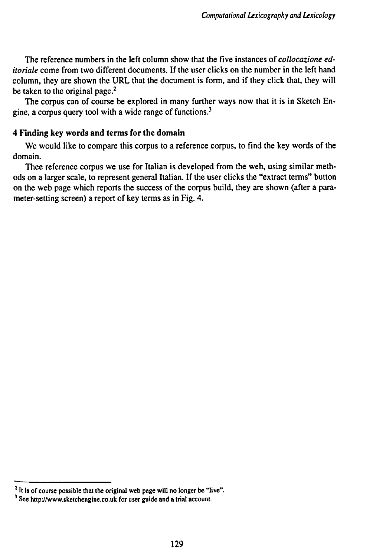The reference numbers in the left column show that the five instances of *collocazione editoriale* come from two different documents. If the user clicks on the number in the left hand column, they are shown the URL that the document is form, and if they click that, they will be taken to the original page.<sup>2</sup>

The corpus can of course be explored in many further ways now that it is in Sketch Engine, a corpus query tool with a wide range of functions.<sup>3</sup>

### **4 Finding key words and terms for the domain**

We would like to compare this corpus to a reference corpus, to find the key words of the domain.

Thee reference corpus we use for Italian is developed from the web, using similar methods on a larger scale, to represent general Italian. If the user clicks the "extract terms" button on the web page which reports the success of the corpus build, they are shown (after a parameter-setting screen) a report of key terms as in Fig. 4.

**<sup>2</sup> It is of course possible that the original web page will no longer be "live"**

*i* **See http://www.sketchengine.co.uk for user guide and a trial account.**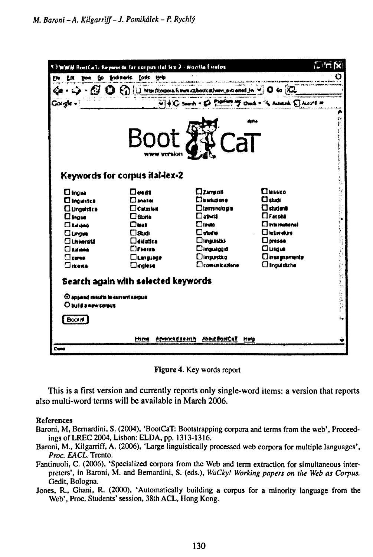| Eto<br><b>Lit you</b>                                                                                                                                          | <b>TIMM RestCal: Keywerds for corpus tial lox 3 - Nozilla f itulos</b><br>Go find-rack foots tech                                                                                                    |                                                                                                                                                                                      |                                                                                                                                                                                                       | i. In Ix |
|----------------------------------------------------------------------------------------------------------------------------------------------------------------|------------------------------------------------------------------------------------------------------------------------------------------------------------------------------------------------------|--------------------------------------------------------------------------------------------------------------------------------------------------------------------------------------|-------------------------------------------------------------------------------------------------------------------------------------------------------------------------------------------------------|----------|
|                                                                                                                                                                |                                                                                                                                                                                                      |                                                                                                                                                                                      | $\mathbf{U}$ to $\mathcal{C}$                                                                                                                                                                         |          |
|                                                                                                                                                                |                                                                                                                                                                                                      |                                                                                                                                                                                      | W + KG South + ED POPPERT Touch + % Assamb E Accord #                                                                                                                                                 |          |
|                                                                                                                                                                |                                                                                                                                                                                                      | <b>Boot &amp; CaT</b>                                                                                                                                                                |                                                                                                                                                                                                       |          |
|                                                                                                                                                                | Keywords for corpus ital-lex-2                                                                                                                                                                       |                                                                                                                                                                                      |                                                                                                                                                                                                       |          |
| <b>O</b> lfaw<br><b>Climaustra</b><br><b>Cluments</b><br>$\Box$ frame<br>$\Box$ Ealidad<br>$\Box$ Unger<br>$\Box$ Universitä<br>Пымы<br>$\Box$ corse<br>Oikeka | ⊟ளை<br>$\Box$ anakai<br>$\Box$ Catzulani<br>$\Box$ Storia<br>Пын<br>$\Box$ Shuti<br>$\square$ didattea<br>$D$ f mean<br><b>Clumpurge</b><br>$\square$ inglese<br>Search again with selected keywords | $\square$ Zamgoli<br>Descubone<br>$\Box$ terminologia<br>$\Box$ atutä<br><b>Diens</b><br><b>Daugus</b><br><b>Dinaustici</b><br>Dinauagid<br><b>Dingustko</b><br><b>Comunicazione</b> | $\mathbf{\Omega}$ is a seq<br>$\Box$ shots<br>$\Box$ studenti<br>$\Box$ Facnită<br><b>Cimematerial</b><br><b>Cletware</b><br>$\Box$ presse<br>$\Box$<br><b>C</b> Insegnaments<br><b>Clinguistiche</b> |          |
| <sup>4</sup> appeal results to current certus<br>O build a new corpus<br>Boot if                                                                               |                                                                                                                                                                                                      |                                                                                                                                                                                      |                                                                                                                                                                                                       |          |
|                                                                                                                                                                | is ne an bailt<br>mm                                                                                                                                                                                 | Abhe BoulCaT<br>HNS                                                                                                                                                                  |                                                                                                                                                                                                       |          |
| <b>Cond</b>                                                                                                                                                    |                                                                                                                                                                                                      |                                                                                                                                                                                      |                                                                                                                                                                                                       |          |

Figure 4. Key words report

This is a first version and currently reports only single-word items: a version that reports also multi-word terms will be available in March 2006.

#### **References**

- Baroni, M, Bernardini, S. (2004), 'BootCaT: Bootstrapping corpora and terms from the web'. Proceedings of LREC 2004, Lisbon: ELDA, pp. 1313-1316.
- Baroni, M., Kilgarriff, A. (2006), 'Large linguistically processed web corpora for multiple languages', Proc. EACL. Trento.
- Fantinuoli, C. (2006), 'Specialized corpora from the Web and term extraction for simultaneous interpreters', in Baroni, M. and Bernardini, S. (eds.), WaCky! Working papers on the Web as Corpus. Gedit, Bologna.

Jones, R., Ghani, R. (2000), 'Automatically building a corpus for a minority language from the Web', Proc. Students' session, 38th ACL, Hong Kong.